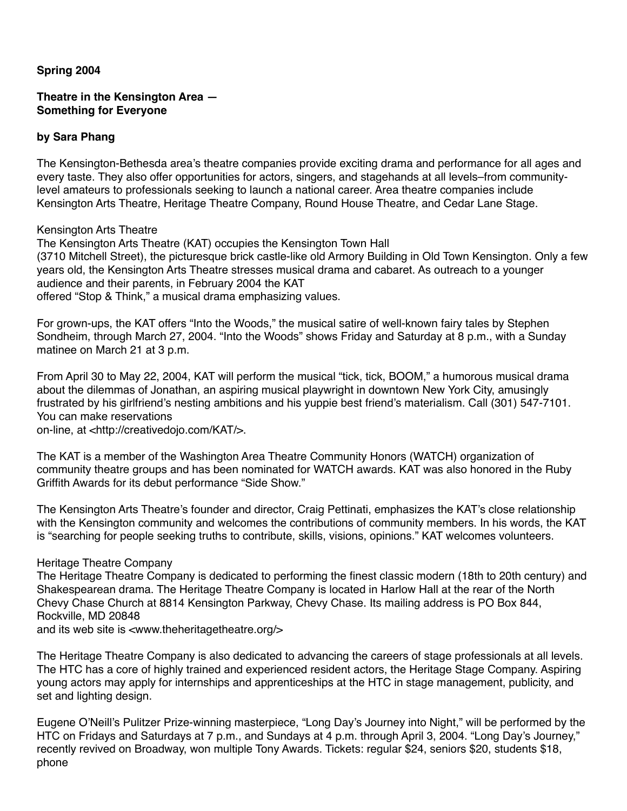## **Spring 2004**

# **Theatre in the Kensington Area — Something for Everyone**

#### **by Sara Phang**

The Kensington-Bethesda area's theatre companies provide exciting drama and performance for all ages and every taste. They also offer opportunities for actors, singers, and stagehands at all levels–from communitylevel amateurs to professionals seeking to launch a national career. Area theatre companies include Kensington Arts Theatre, Heritage Theatre Company, Round House Theatre, and Cedar Lane Stage.

Kensington Arts Theatre

The Kensington Arts Theatre (KAT) occupies the Kensington Town Hall (3710 Mitchell Street), the picturesque brick castle-like old Armory Building in Old Town Kensington. Only a few years old, the Kensington Arts Theatre stresses musical drama and cabaret. As outreach to a younger audience and their parents, in February 2004 the KAT

offered "Stop & Think," a musical drama emphasizing values.

For grown-ups, the KAT offers "Into the Woods," the musical satire of well-known fairy tales by Stephen Sondheim, through March 27, 2004. "Into the Woods" shows Friday and Saturday at 8 p.m., with a Sunday matinee on March 21 at 3 p.m.

From April 30 to May 22, 2004, KAT will perform the musical "tick, tick, BOOM," a humorous musical drama about the dilemmas of Jonathan, an aspiring musical playwright in downtown New York City, amusingly frustrated by his girlfriend's nesting ambitions and his yuppie best friend's materialism. Call (301) 547-7101. You can make reservations

on-line, at <http://creativedojo.com/KAT/>.

The KAT is a member of the Washington Area Theatre Community Honors (WATCH) organization of community theatre groups and has been nominated for WATCH awards. KAT was also honored in the Ruby Griffith Awards for its debut performance "Side Show."

The Kensington Arts Theatre's founder and director, Craig Pettinati, emphasizes the KAT's close relationship with the Kensington community and welcomes the contributions of community members. In his words, the KAT is "searching for people seeking truths to contribute, skills, visions, opinions." KAT welcomes volunteers.

#### Heritage Theatre Company

The Heritage Theatre Company is dedicated to performing the finest classic modern (18th to 20th century) and Shakespearean drama. The Heritage Theatre Company is located in Harlow Hall at the rear of the North Chevy Chase Church at 8814 Kensington Parkway, Chevy Chase. Its mailing address is PO Box 844, Rockville, MD 20848

and its web site is <www.theheritagetheatre.org/>

The Heritage Theatre Company is also dedicated to advancing the careers of stage professionals at all levels. The HTC has a core of highly trained and experienced resident actors, the Heritage Stage Company. Aspiring young actors may apply for internships and apprenticeships at the HTC in stage management, publicity, and set and lighting design.

Eugene O'Neill's Pulitzer Prize-winning masterpiece, "Long Day's Journey into Night," will be performed by the HTC on Fridays and Saturdays at 7 p.m., and Sundays at 4 p.m. through April 3, 2004. "Long Day's Journey," recently revived on Broadway, won multiple Tony Awards. Tickets: regular \$24, seniors \$20, students \$18, phone